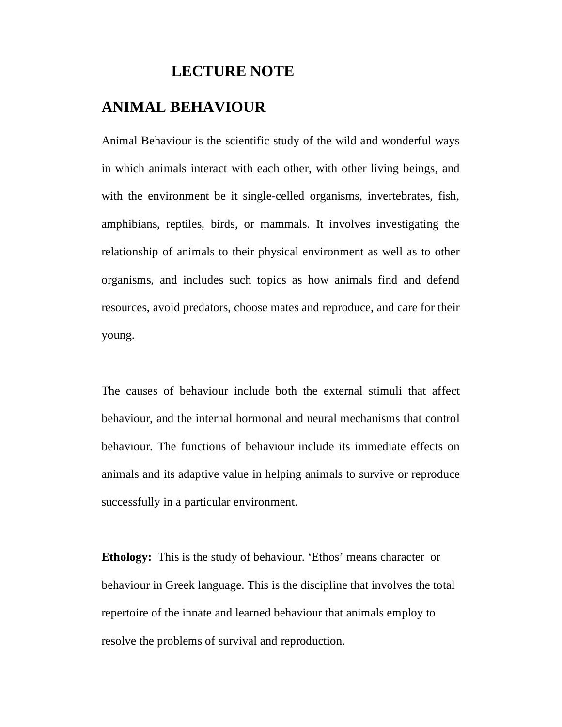# **LECTURE NOTE**

# **ANIMAL BEHAVIOUR**

Animal Behaviour is the scientific study of the wild and wonderful ways in which animals interact with each other, with other living beings, and with the environment be it single-celled organisms, invertebrates, fish, amphibians, reptiles, birds, or mammals. It involves investigating the relationship of animals to their physical environment as well as to other organisms, and includes such topics as how animals find and defend resources, avoid predators, choose mates and reproduce, and care for their young.

The causes of behaviour include both the external stimuli that affect behaviour, and the internal hormonal and neural mechanisms that control behaviour. The functions of behaviour include its immediate effects on animals and its adaptive value in helping animals to survive or reproduce successfully in a particular environment.

**Ethology:** This is the study of behaviour. 'Ethos' means character or behaviour in Greek language. This is the discipline that involves the total repertoire of the innate and learned behaviour that animals employ to resolve the problems of survival and reproduction.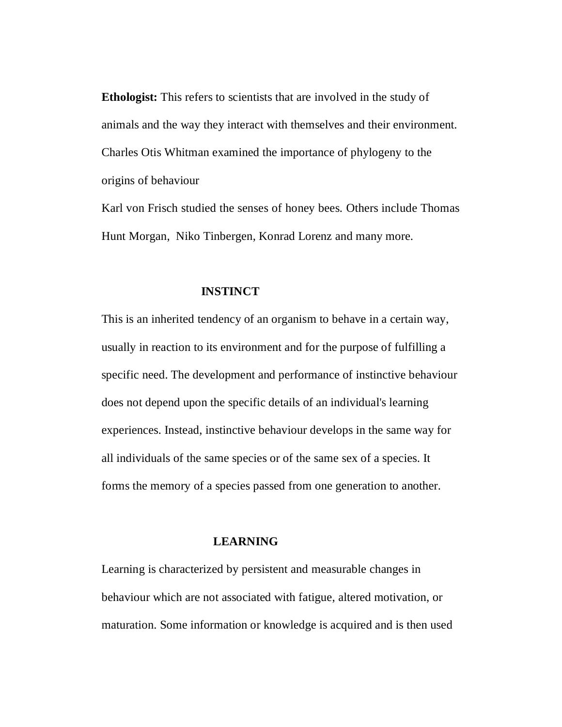**Ethologist:** This refers to scientists that are involved in the study of animals and the way they interact with themselves and their environment. Charles Otis Whitman examined the importance of phylogeny to the origins of behaviour

Karl von Frisch studied the senses of honey bees. Others include Thomas Hunt Morgan, Niko Tinbergen, Konrad Lorenz and many more.

#### **INSTINCT**

This is an inherited tendency of an organism to behave in a certain way, usually in reaction to its environment and for the purpose of fulfilling a specific need. The development and performance of instinctive behaviour does not depend upon the specific details of an individual's learning experiences. Instead, instinctive behaviour develops in the same way for all individuals of the same species or of the same sex of a species. It forms the memory of a species passed from one generation to another.

### **LEARNING**

Learning is characterized by persistent and measurable changes in behaviour which are not associated with fatigue, altered motivation, or maturation. Some information or knowledge is acquired and is then used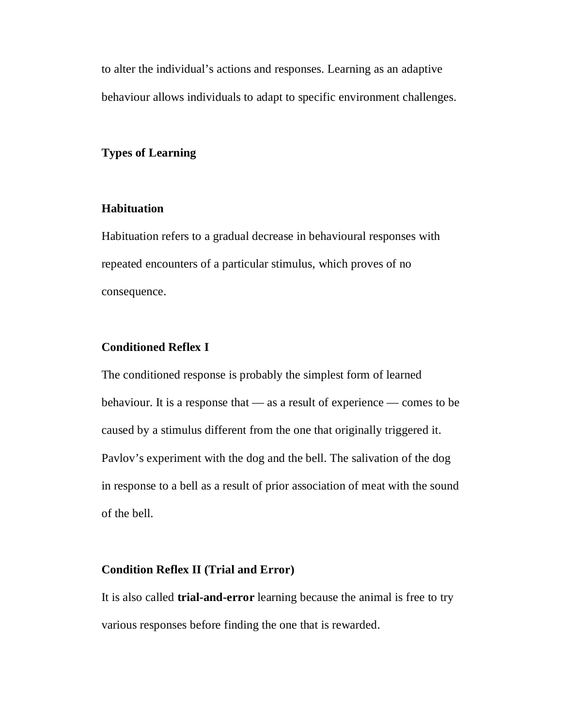to alter the individual's actions and responses. Learning as an adaptive behaviour allows individuals to adapt to specific environment challenges.

#### **Types of Learning**

### **Habituation**

Habituation refers to a gradual decrease in behavioural responses with repeated encounters of a particular stimulus, which proves of no consequence.

#### **Conditioned Reflex I**

The conditioned response is probably the simplest form of learned behaviour. It is a response that — as a result of experience — comes to be caused by a stimulus different from the one that originally triggered it. Pavlov's experiment with the dog and the bell. The salivation of the dog in response to a bell as a result of prior association of meat with the sound of the bell.

#### **Condition Reflex II (Trial and Error)**

It is also called **trial-and-error** learning because the animal is free to try various responses before finding the one that is rewarded.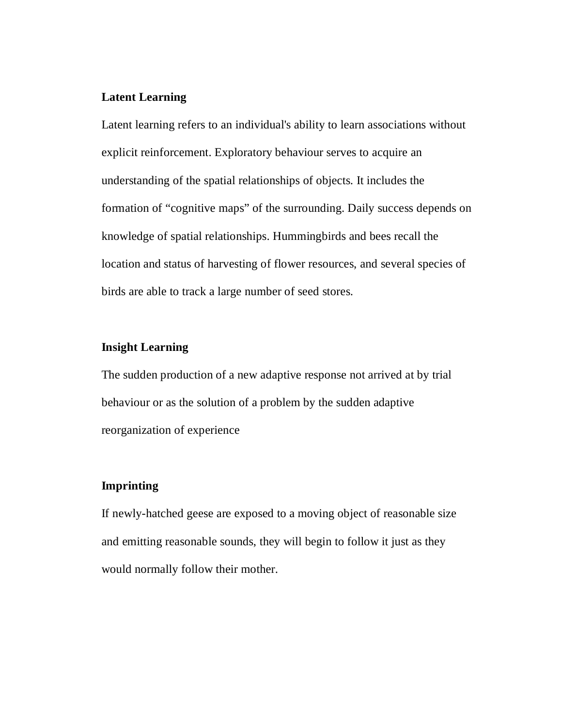#### **Latent Learning**

Latent learning refers to an individual's ability to learn associations without explicit reinforcement. Exploratory behaviour serves to acquire an understanding of the spatial relationships of objects. It includes the formation of "cognitive maps" of the surrounding. Daily success depends on knowledge of spatial relationships. Hummingbirds and bees recall the location and status of harvesting of flower resources, and several species of birds are able to track a large number of seed stores.

#### **Insight Learning**

The sudden production of a new adaptive response not arrived at by trial behaviour or as the solution of a problem by the sudden adaptive reorganization of experience

#### **Imprinting**

If newly-hatched geese are exposed to a moving object of reasonable size and emitting reasonable sounds, they will begin to follow it just as they would normally follow their mother.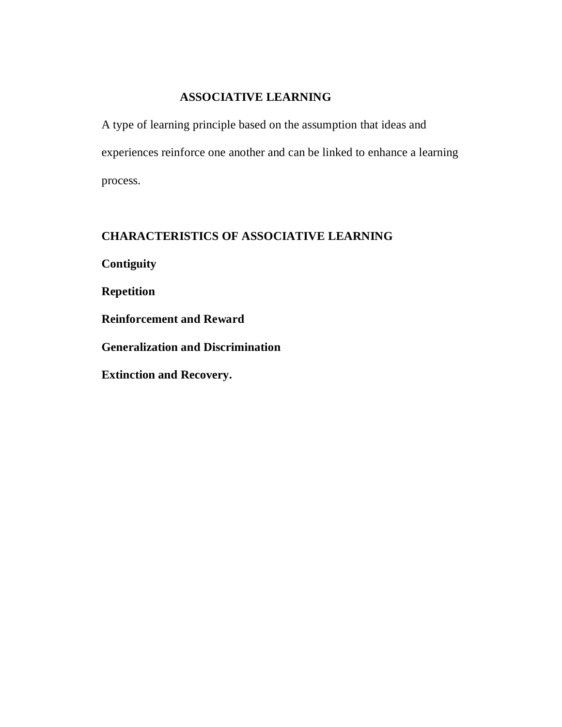## **ASSOCIATIVE LEARNING**

A type of learning principle based on the assumption that ideas and experiences reinforce one another and can be linked to enhance a learning process.

## **CHARACTERISTICS OF ASSOCIATIVE LEARNING**

**Contiguity**

**Repetition**

**Reinforcement and Reward**

**Generalization and Discrimination**

**Extinction and Recovery.**